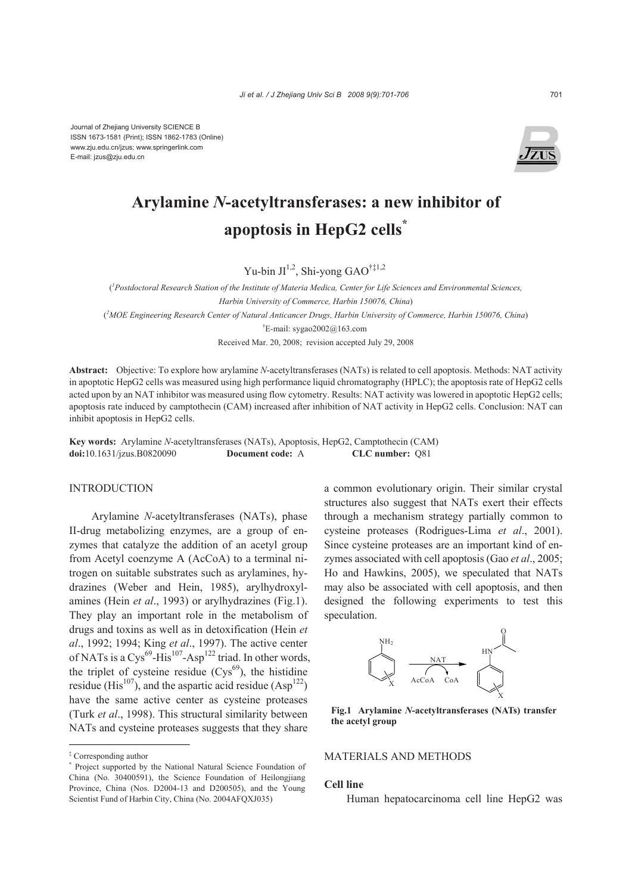Journal of Zhejiang University SCIENCE B ISSN 1673-1581 (Print); ISSN 1862-1783 (Online) www.zju.edu.cn/jzus; www.springerlink.com E-mail: jzus@zju.edu.cn



# **Arylamine** *N***-acetyltransferases: a new inhibitor of apoptosis in HepG2 cells\***

Yu-bin  $JI^{1,2}$ , Shi-yong GAO<sup>†‡1,2</sup>

( *1 Postdoctoral Research Station of the Institute of Materia Medica, Center for Life Sciences and Environmental Sciences, Harbin University of Commerce, Harbin 150076, China*) ( *2 MOE Engineering Research Center of Natural Anticancer Drugs, Harbin University of Commerce, Harbin 150076, China*) † E-mail: sygao2002@163.com

Received Mar. 20, 2008; revision accepted July 29, 2008

**Abstract:** Objective: To explore how arylamine *N*-acetyltransferases (NATs) is related to cell apoptosis. Methods: NAT activity in apoptotic HepG2 cells was measured using high performance liquid chromatography (HPLC); the apoptosis rate of HepG2 cells acted upon by an NAT inhibitor was measured using flow cytometry. Results: NAT activity was lowered in apoptotic HepG2 cells; apoptosis rate induced by camptothecin (CAM) increased after inhibition of NAT activity in HepG2 cells. Conclusion: NAT can inhibit apoptosis in HepG2 cells.

**Key words:** Arylamine *N*-acetyltransferases (NATs), Apoptosis, HepG2, Camptothecin (CAM) **doi:**10.1631/jzus.B0820090 **Document code:** A **CLC number:** Q81

#### INTRODUCTION

Arylamine *N*-acetyltransferases (NATs), phase II-drug metabolizing enzymes, are a group of enzymes that catalyze the addition of an acetyl group from Acetyl coenzyme A (AcCoA) to a terminal nitrogen on suitable substrates such as arylamines, hydrazines (Weber and Hein, 1985), arylhydroxylamines (Hein *et al*., 1993) or arylhydrazines (Fig.1). They play an important role in the metabolism of drugs and toxins as well as in detoxification (Hein *et al*., 1992; 1994; King *et al*., 1997). The active center of NATs is a Cys<sup>69</sup>-His<sup>107</sup>-Asp<sup>122</sup> triad. In other words, the triplet of cysteine residue  $(Cys<sup>69</sup>)$ , the histidine residue (His<sup>107</sup>), and the aspartic acid residue (Asp<sup>122</sup>) have the same active center as cysteine proteases (Turk *et al*., 1998). This structural similarity between NATs and cysteine proteases suggests that they share

a common evolutionary origin. Their similar crystal structures also suggest that NATs exert their effects through a mechanism strategy partially common to cysteine proteases (Rodrigues-Lima *et al*., 2001). Since cysteine proteases are an important kind of enzymes associated with cell apoptosis (Gao *et al*., 2005; Ho and Hawkins, 2005), we speculated that NATs may also be associated with cell apoptosis, and then designed the following experiments to test this speculation.



**Fig.1 Arylamine** *N***-acetyltransferases (NATs) transfer the acetyl group** 

## MATERIALS AND METHODS

## **Cell line**

Human hepatocarcinoma cell line HepG2 was

<sup>‡</sup> Corresponding author

<sup>\*</sup> Project supported by the National Natural Science Foundation of China (No. 30400591), the Science Foundation of Heilongjiang Province, China (Nos. D2004-13 and D200505), and the Young Scientist Fund of Harbin City, China (No. 2004AFOXJ035)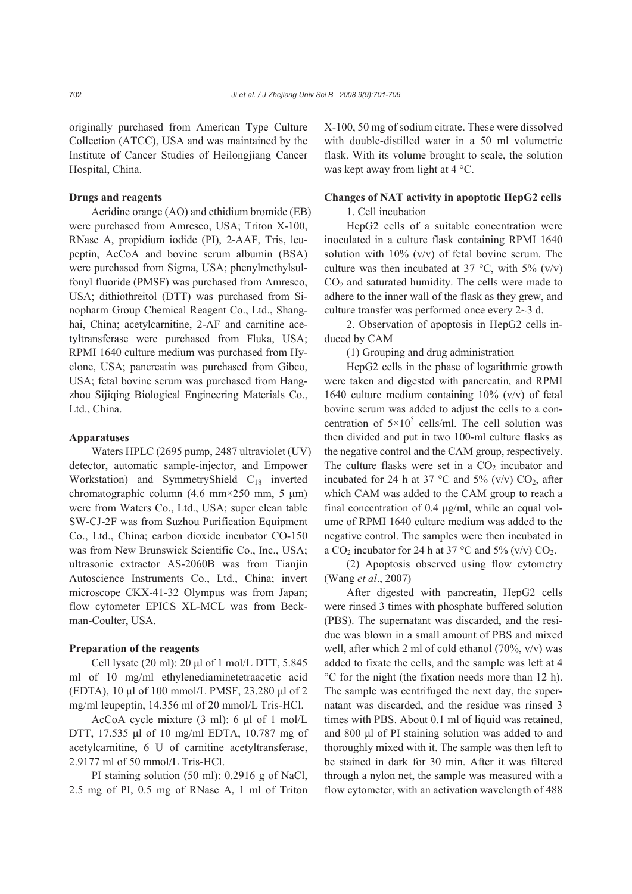originally purchased from American Type Culture Collection (ATCC), USA and was maintained by the Institute of Cancer Studies of Heilongjiang Cancer Hospital, China.

#### **Drugs and reagents**

Acridine orange (AO) and ethidium bromide (EB) were purchased from Amresco, USA; Triton X-100, RNase A, propidium iodide (PI), 2-AAF, Tris, leupeptin, AcCoA and bovine serum albumin (BSA) were purchased from Sigma, USA; phenylmethylsulfonyl fluoride (PMSF) was purchased from Amresco, USA; dithiothreitol (DTT) was purchased from Sinopharm Group Chemical Reagent Co., Ltd., Shanghai, China; acetylcarnitine, 2-AF and carnitine acetyltransferase were purchased from Fluka, USA; RPMI 1640 culture medium was purchased from Hyclone, USA; pancreatin was purchased from Gibco, USA; fetal bovine serum was purchased from Hangzhou Sijiqing Biological Engineering Materials Co., Ltd., China.

## **Apparatuses**

Waters HPLC (2695 pump, 2487 ultraviolet (UV) detector, automatic sample-injector, and Empower Workstation) and SymmetryShield C<sub>18</sub> inverted chromatographic column (4.6 mm×250 mm, 5 μm) were from Waters Co., Ltd., USA; super clean table SW-CJ-2F was from Suzhou Purification Equipment Co., Ltd., China; carbon dioxide incubator CO-150 was from New Brunswick Scientific Co., Inc., USA; ultrasonic extractor AS-2060B was from Tianjin Autoscience Instruments Co., Ltd., China; invert microscope CKX-41-32 Olympus was from Japan; flow cytometer EPICS XL-MCL was from Beckman-Coulter, USA.

#### **Preparation of the reagents**

Cell lysate (20 ml): 20 μl of 1 mol/L DTT, 5.845 ml of 10 mg/ml ethylenediaminetetraacetic acid (EDTA), 10 μl of 100 mmol/L PMSF, 23.280 μl of 2 mg/ml leupeptin, 14.356 ml of 20 mmol/L Tris-HCl.

AcCoA cycle mixture (3 ml): 6 μl of 1 mol/L DTT, 17.535 μl of 10 mg/ml EDTA, 10.787 mg of acetylcarnitine, 6 U of carnitine acetyltransferase, 2.9177 ml of 50 mmol/L Tris-HCl.

PI staining solution (50 ml): 0.2916 g of NaCl, 2.5 mg of PI, 0.5 mg of RNase A, 1 ml of Triton X-100, 50 mg of sodium citrate. These were dissolved with double-distilled water in a 50 ml volumetric flask. With its volume brought to scale, the solution was kept away from light at 4 °C.

# **Changes of NAT activity in apoptotic HepG2 cells**

1. Cell incubation

HepG2 cells of a suitable concentration were inoculated in a culture flask containing RPMI 1640 solution with  $10\%$  (v/v) of fetal bovine serum. The culture was then incubated at 37 °C, with 5% (v/v)  $CO<sub>2</sub>$  and saturated humidity. The cells were made to adhere to the inner wall of the flask as they grew, and culture transfer was performed once every 2~3 d.

2. Observation of apoptosis in HepG2 cells induced by CAM

(1) Grouping and drug administration

HepG2 cells in the phase of logarithmic growth were taken and digested with pancreatin, and RPMI 1640 culture medium containing 10% (v/v) of fetal bovine serum was added to adjust the cells to a concentration of  $5 \times 10^5$  cells/ml. The cell solution was then divided and put in two 100-ml culture flasks as the negative control and the CAM group, respectively. The culture flasks were set in a  $CO<sub>2</sub>$  incubator and incubated for 24 h at 37 °C and 5% (v/v)  $CO<sub>2</sub>$ , after which CAM was added to the CAM group to reach a final concentration of 0.4 μg/ml, while an equal volume of RPMI 1640 culture medium was added to the negative control. The samples were then incubated in a  $CO_2$  incubator for 24 h at 37 °C and 5% (v/v)  $CO_2$ .

(2) Apoptosis observed using flow cytometry (Wang *et al*., 2007)

After digested with pancreatin, HepG2 cells were rinsed 3 times with phosphate buffered solution (PBS). The supernatant was discarded, and the residue was blown in a small amount of PBS and mixed well, after which 2 ml of cold ethanol  $(70\%, v/v)$  was added to fixate the cells, and the sample was left at 4 °C for the night (the fixation needs more than 12 h). The sample was centrifuged the next day, the supernatant was discarded, and the residue was rinsed 3 times with PBS. About 0.1 ml of liquid was retained, and 800 μl of PI staining solution was added to and thoroughly mixed with it. The sample was then left to be stained in dark for 30 min. After it was filtered through a nylon net, the sample was measured with a flow cytometer, with an activation wavelength of 488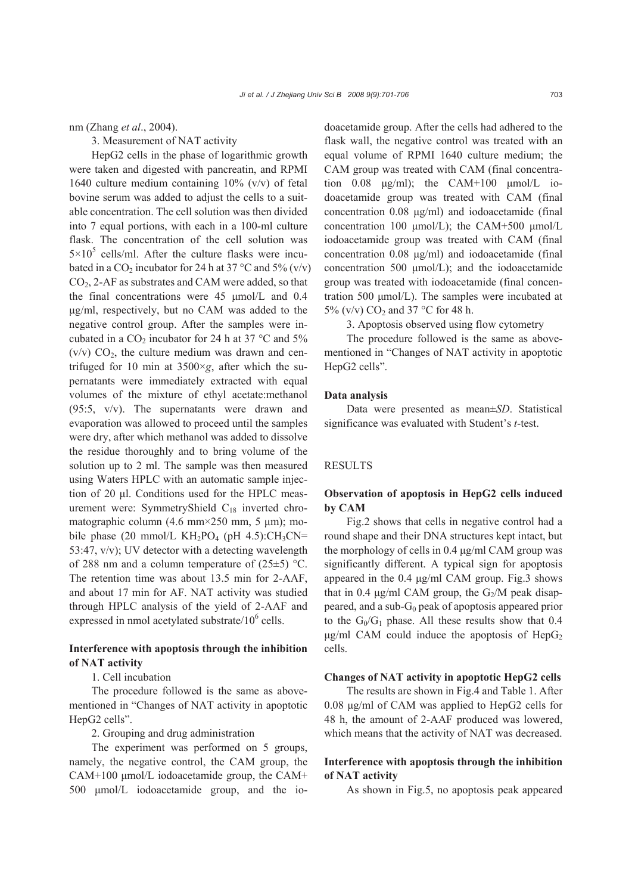nm (Zhang *et al*., 2004).

3. Measurement of NAT activity

HepG2 cells in the phase of logarithmic growth were taken and digested with pancreatin, and RPMI 1640 culture medium containing 10% (v/v) of fetal bovine serum was added to adjust the cells to a suitable concentration. The cell solution was then divided into 7 equal portions, with each in a 100-ml culture flask. The concentration of the cell solution was  $5 \times 10^5$  cells/ml. After the culture flasks were incubated in a CO<sub>2</sub> incubator for 24 h at 37 °C and 5% (v/v) CO2, 2-AF as substrates and CAM were added, so that the final concentrations were 45 μmol/L and 0.4 μg/ml, respectively, but no CAM was added to the negative control group. After the samples were incubated in a  $CO_2$  incubator for 24 h at 37 °C and 5%  $(v/v)$  CO<sub>2</sub>, the culture medium was drawn and centrifuged for 10 min at  $3500 \times g$ , after which the supernatants were immediately extracted with equal volumes of the mixture of ethyl acetate:methanol (95:5, v/v). The supernatants were drawn and evaporation was allowed to proceed until the samples were dry, after which methanol was added to dissolve the residue thoroughly and to bring volume of the solution up to 2 ml. The sample was then measured using Waters HPLC with an automatic sample injection of 20 μl. Conditions used for the HPLC measurement were: SymmetryShield C<sub>18</sub> inverted chromatographic column (4.6 mm×250 mm, 5 μm); mobile phase (20 mmol/L  $KH_2PO_4$  (pH 4.5):CH<sub>3</sub>CN= 53:47, v/v); UV detector with a detecting wavelength of 288 nm and a column temperature of  $(25\pm5)$  °C. The retention time was about 13.5 min for 2-AAF, and about 17 min for AF. NAT activity was studied through HPLC analysis of the yield of 2-AAF and expressed in nmol acetylated substrate/ $10^6$  cells.

# **Interference with apoptosis through the inhibition of NAT activity**

1. Cell incubation

The procedure followed is the same as abovementioned in "Changes of NAT activity in apoptotic HepG2 cells".

2. Grouping and drug administration

The experiment was performed on 5 groups, namely, the negative control, the CAM group, the CAM+100 μmol/L iodoacetamide group, the CAM+ 500 μmol/L iodoacetamide group, and the iodoacetamide group. After the cells had adhered to the flask wall, the negative control was treated with an equal volume of RPMI 1640 culture medium; the CAM group was treated with CAM (final concentration  $0.08$   $\mu$ g/ml); the CAM+100  $\mu$ mol/L iodoacetamide group was treated with CAM (final concentration 0.08 μg/ml) and iodoacetamide (final concentration 100 μmol/L); the CAM+500 μmol/L iodoacetamide group was treated with CAM (final concentration 0.08 μg/ml) and iodoacetamide (final concentration 500 μmol/L); and the iodoacetamide group was treated with iodoacetamide (final concentration 500 μmol/L). The samples were incubated at 5% (v/v)  $CO<sub>2</sub>$  and 37 °C for 48 h.

3. Apoptosis observed using flow cytometry

The procedure followed is the same as abovementioned in "Changes of NAT activity in apoptotic HepG2 cells".

#### **Data analysis**

Data were presented as mean±*SD*. Statistical significance was evaluated with Student's *t*-test.

#### **RESULTS**

# **Observation of apoptosis in HepG2 cells induced by CAM**

Fig.2 shows that cells in negative control had a round shape and their DNA structures kept intact, but the morphology of cells in 0.4 μg/ml CAM group was significantly different. A typical sign for apoptosis appeared in the 0.4 μg/ml CAM group. Fig.3 shows that in 0.4 μg/ml CAM group, the  $G_2/M$  peak disappeared, and a sub- $G_0$  peak of apoptosis appeared prior to the  $G_0/G_1$  phase. All these results show that 0.4  $\mu$ g/ml CAM could induce the apoptosis of HepG<sub>2</sub> cells.

#### **Changes of NAT activity in apoptotic HepG2 cells**

The results are shown in Fig.4 and Table 1. After 0.08 μg/ml of CAM was applied to HepG2 cells for 48 h, the amount of 2-AAF produced was lowered, which means that the activity of NAT was decreased.

# **Interference with apoptosis through the inhibition of NAT activity**

As shown in Fig.5, no apoptosis peak appeared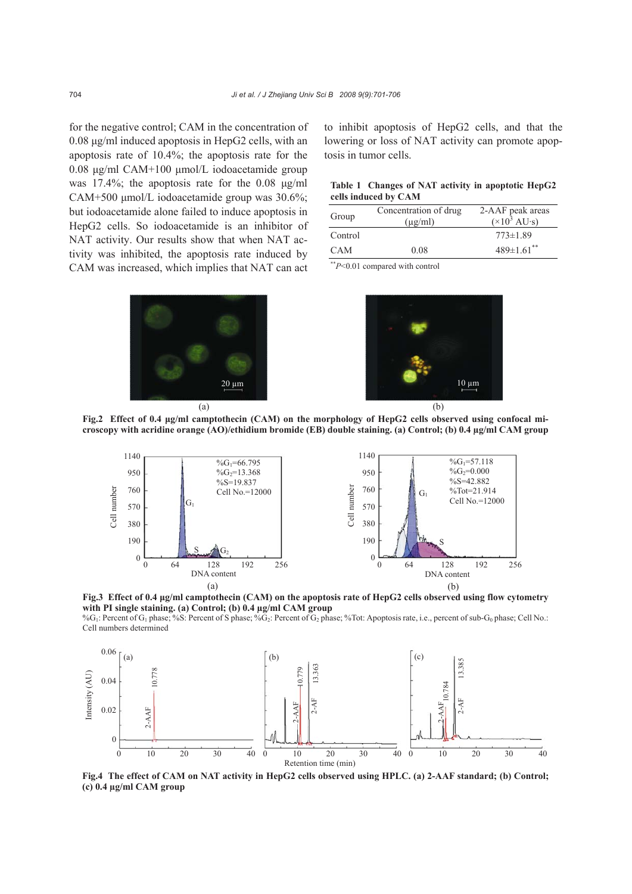for the negative control; CAM in the concentration of 0.08 μg/ml induced apoptosis in HepG2 cells, with an apoptosis rate of 10.4%; the apoptosis rate for the 0.08 μg/ml CAM+100 μmol/L iodoacetamide group was 17.4%; the apoptosis rate for the 0.08 μg/ml CAM+500 μmol/L iodoacetamide group was 30.6%; but iodoacetamide alone failed to induce apoptosis in HepG2 cells. So iodoacetamide is an inhibitor of NAT activity. Our results show that when NAT activity was inhibited, the apoptosis rate induced by CAM was increased, which implies that NAT can act



to inhibit apoptosis of HepG2 cells, and that the lowering or loss of NAT activity can promote apoptosis in tumor cells.

## **Table 1 Changes of NAT activity in apoptotic HepG2 cells induced by CAM**

| Group      | Concentration of drug<br>$(\mu g/ml)$ | 2-AAF peak areas<br>$(\times 10^3 \text{ AU} \cdot \text{s})$ |
|------------|---------------------------------------|---------------------------------------------------------------|
| Control    |                                       | $773 \pm 1.89$                                                |
| <b>CAM</b> | 0.08                                  | $489\pm1.61$ <sup>**</sup>                                    |

\*\**P*<0.01 compared with control







**Fig.3 Effect of 0.4 μg/ml camptothecin (CAM) on the apoptosis rate of HepG2 cells observed using flow cytometry with PI single staining. (a) Control; (b) 0.4 µg/ml CAM group** 

%G<sub>1</sub>: Percent of G<sub>1</sub> phase; %S: Percent of S phase; %G<sub>2</sub>: Percent of G<sub>2</sub> phase; %Tot: Apoptosis rate, i.e., percent of sub-G<sub>0</sub> phase; Cell No.: Cell numbers determined



**Fig.4 The effect of CAM on NAT activity in HepG2 cells observed using HPLC. (a) 2-AAF standard; (b) Control; (c) 0.4 µg/ml CAM group**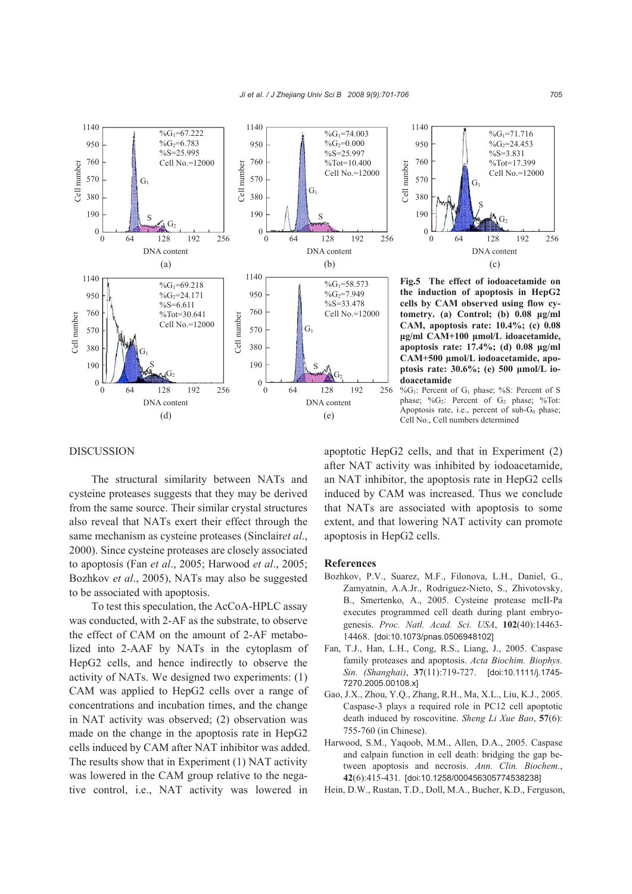



**Fig.5 The effect of iodoacetamide on the induction of apoptosis in HepG2 cells by CAM observed using flow cytometry. (a) Control; (b) 0.08 μg/ml CAM, apoptosis rate: 10.4%; (c) 0.08 μg/ml CAM+100 μmol/L idoacetamide, apoptosis rate: 17.4%; (d) 0.08 μg/ml CAM+500 μmol/L iodoacetamide, apoptosis rate: 30.6%; (e) 500 μmol/L iodoacetamide** 

 $\%G_1$ : Percent of G<sub>1</sub> phase;  $\%S$ : Percent of S phase; %G<sub>2</sub>: Percent of G<sub>2</sub> phase; %Tot: Apoptosis rate, i.e., percent of  $sub-G<sub>0</sub>$  phase; Cell No., Cell numbers determined

## DISCUSSION

The structural similarity between NATs and cysteine proteases suggests that they may be derived from the same source. Their similar crystal structures also reveal that NATs exert their effect through the same mechanism as cysteine proteases (Sinclair*et al*., 2000). Since cysteine proteases are closely associated to apoptosis (Fan *et al*., 2005; Harwood *et al*., 2005; Bozhkov *et al*., 2005), NATs may also be suggested to be associated with apoptosis.

To test this speculation, the AcCoA-HPLC assay was conducted, with 2-AF as the substrate, to observe the effect of CAM on the amount of 2-AF metabolized into 2-AAF by NATs in the cytoplasm of HepG2 cells, and hence indirectly to observe the activity of NATs. We designed two experiments: (1) CAM was applied to HepG2 cells over a range of concentrations and incubation times, and the change in NAT activity was observed; (2) observation was made on the change in the apoptosis rate in HepG2 cells induced by CAM after NAT inhibitor was added. The results show that in Experiment (1) NAT activity was lowered in the CAM group relative to the negative control, i.e., NAT activity was lowered in

apoptotic HepG2 cells, and that in Experiment (2) after NAT activity was inhibited by iodoacetamide, an NAT inhibitor, the apoptosis rate in HepG2 cells induced by CAM was increased. Thus we conclude that NATs are associated with apoptosis to some extent, and that lowering NAT activity can promote apoptosis in HepG2 cells.

#### **References**

- Bozhkov, P.V., Suarez, M.F., Filonova, L.H., Daniel, G., Zamyatnin, A.A.Jr., Rodriguez-Nieto, S., Zhivotovsky, B., Smertenko, A., 2005. Cysteine protease mcII-Pa executes programmed cell death during plant embryogenesis. *Proc. Natl. Acad. Sci. USA*, **102**(40):14463- 14468. [doi:10.1073/pnas.0506948102]
- Fan, T.J., Han, L.H., Cong, R.S., Liang, J., 2005. Caspase family proteases and apoptosis. *Acta Biochim. Biophys. Sin. (Shanghai)*, **37**(11):719-727. [doi:10.1111/j.1745- 7270.2005.00108.x]
- Gao, J.X., Zhou, Y.Q., Zhang, R.H., Ma, X.L., Liu, K.J., 2005. Caspase-3 plays a required role in PC12 cell apoptotic death induced by roscovitine. *Sheng Li Xue Bao*, **57**(6): 755-760 (in Chinese).
- Harwood, S.M., Yaqoob, M.M., Allen, D.A., 2005. Caspase and calpain function in cell death: bridging the gap between apoptosis and necrosis. *Ann. Clin. Biochem.*, **42**(6):415-431. [doi:10.1258/000456305774538238]
- Hein, D.W., Rustan, T.D., Doll, M.A., Bucher, K.D., Ferguson,